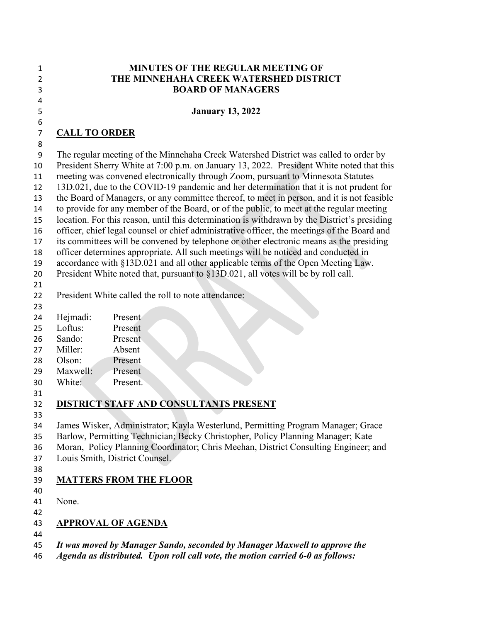#### **MINUTES OF THE REGULAR MEETING OF THE MINNEHAHA CREEK WATERSHED DISTRICT BOARD OF MANAGERS**

#### **January 13, 2022**

#### **CALL TO ORDER**

The regular meeting of the Minnehaha Creek Watershed District was called to order by

President Sherry White at 7:00 p.m. on January 13, 2022. President White noted that this

meeting was convened electronically through Zoom, pursuant to Minnesota Statutes

13D.021, due to the COVID-19 pandemic and her determination that it is not prudent for

 the Board of Managers, or any committee thereof, to meet in person, and it is not feasible to provide for any member of the Board, or of the public, to meet at the regular meeting

location. For this reason, until this determination is withdrawn by the District's presiding

officer, chief legal counsel or chief administrative officer, the meetings of the Board and

its committees will be convened by telephone or other electronic means as the presiding

officer determines appropriate. All such meetings will be noticed and conducted in

accordance with §13D.021 and all other applicable terms of the Open Meeting Law.

President White noted that, pursuant to §13D.021, all votes will be by roll call.

President White called the roll to note attendance:

- Hejmadi: Present
- Loftus: Present
- Sando: Present
- Miller: Absent
- Olson: Present
- Maxwell: Present
- White: Present.
- 

# **DISTRICT STAFF AND CONSULTANTS PRESENT**

James Wisker, Administrator; Kayla Westerlund, Permitting Program Manager; Grace

Barlow, Permitting Technician; Becky Christopher, Policy Planning Manager; Kate

Moran, Policy Planning Coordinator; Chris Meehan, District Consulting Engineer; and

- Louis Smith, District Counsel.
- 

# **MATTERS FROM THE FLOOR**

 None.

# **APPROVAL OF AGENDA**

*It was moved by Manager Sando, seconded by Manager Maxwell to approve the* 

*Agenda as distributed. Upon roll call vote, the motion carried 6-0 as follows:*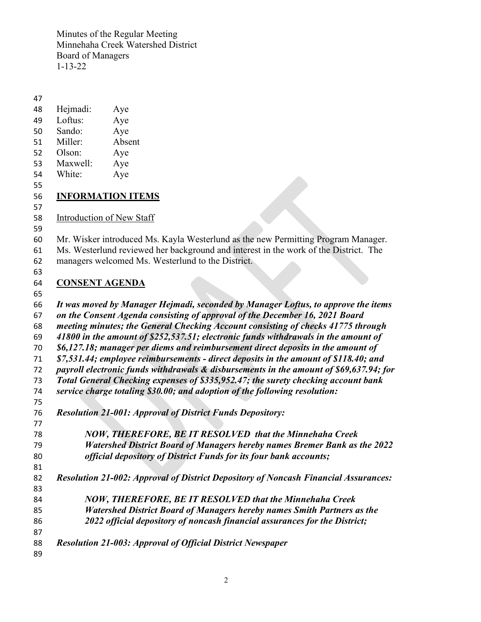- Hejmadi: Aye
- Loftus: Aye
- Sando: Aye
- Miller: Absent
- Olson: Aye
- Maxwell: Aye White: Aye
- 

### **INFORMATION ITEMS**

Introduction of New Staff

Mr. Wisker introduced Ms. Kayla Westerlund as the new Permitting Program Manager.

- Ms. Westerlund reviewed her background and interest in the work of the District. The
- managers welcomed Ms. Westerlund to the District.
- 

## **CONSENT AGENDA**

 *It was moved by Manager Hejmadi, seconded by Manager Loftus, to approve the items on the Consent Agenda consisting of approval of the December 16, 2021 Board meeting minutes; the General Checking Account consisting of checks 41775 through 41800 in the amount of \$252,537.51; electronic funds withdrawals in the amount of \$6,127.18; manager per diems and reimbursement direct deposits in the amount of \$7,531.44; employee reimbursements - direct deposits in the amount of \$118.40; and payroll electronic funds withdrawals & disbursements in the amount of \$69,637.94; for Total General Checking expenses of \$335,952.47; the surety checking account bank service charge totaling \$30.00; and adoption of the following resolution: Resolution 21-001: Approval of District Funds Depository: NOW, THEREFORE, BE IT RESOLVED that the Minnehaha Creek Watershed District Board of Managers hereby names Bremer Bank as the 2022 official depository of District Funds for its four bank accounts; Resolution 21-002: Approval of District Depository of Noncash Financial Assurances: NOW, THEREFORE, BE IT RESOLVED that the Minnehaha Creek Watershed District Board of Managers hereby names Smith Partners as the 2022 official depository of noncash financial assurances for the District; Resolution 21-003: Approval of Official District Newspaper*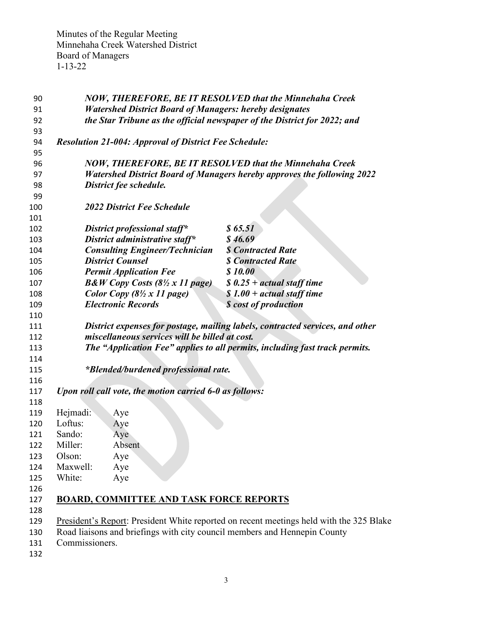| 90  |                                                                                | <b>NOW, THEREFORE, BE IT RESOLVED that the Minnehaha Creek</b>                          |  |
|-----|--------------------------------------------------------------------------------|-----------------------------------------------------------------------------------------|--|
| 91  | <b>Watershed District Board of Managers: hereby designates</b>                 |                                                                                         |  |
| 92  | the Star Tribune as the official newspaper of the District for 2022; and       |                                                                                         |  |
| 93  |                                                                                |                                                                                         |  |
| 94  | <b>Resolution 21-004: Approval of District Fee Schedule:</b>                   |                                                                                         |  |
| 95  |                                                                                |                                                                                         |  |
| 96  |                                                                                | <b>NOW, THEREFORE, BE IT RESOLVED that the Minnehaha Creek</b>                          |  |
| 97  | <b>Watershed District Board of Managers hereby approves the following 2022</b> |                                                                                         |  |
| 98  | District fee schedule.                                                         |                                                                                         |  |
| 99  |                                                                                |                                                                                         |  |
| 100 | <b>2022 District Fee Schedule</b>                                              |                                                                                         |  |
| 101 |                                                                                |                                                                                         |  |
| 102 | District professional staff*                                                   | \$65.51                                                                                 |  |
| 103 | District administrative staff*                                                 | \$46.69                                                                                 |  |
| 104 | <b>Consulting Engineer/Technician</b>                                          | <b>\$ Contracted Rate</b>                                                               |  |
| 105 | <b>District Counsel</b>                                                        | <b>\$ Contracted Rate</b>                                                               |  |
| 106 | <b>Permit Application Fee</b>                                                  | \$10.00                                                                                 |  |
| 107 | $B\&W$ Copy Costs (8½ x 11 page)                                               | $$0.25 + actual staff time$                                                             |  |
| 108 | Color Copy (8½ x 11 page)                                                      | $$1.00 + actual staff time$                                                             |  |
| 109 | <b>Electronic Records</b>                                                      | <b>\$</b> cost of production                                                            |  |
| 110 |                                                                                |                                                                                         |  |
| 111 | District expenses for postage, mailing labels, contracted services, and other  |                                                                                         |  |
| 112 | miscellaneous services will be billed at cost.                                 |                                                                                         |  |
| 113 | The "Application Fee" applies to all permits, including fast track permits.    |                                                                                         |  |
| 114 |                                                                                |                                                                                         |  |
| 115 | <i>*Blended/burdened professional rate.</i>                                    |                                                                                         |  |
| 116 |                                                                                |                                                                                         |  |
| 117 | Upon roll call vote, the motion carried 6-0 as follows:                        |                                                                                         |  |
| 118 |                                                                                |                                                                                         |  |
| 119 | Hejmadi:<br>Aye                                                                |                                                                                         |  |
| 120 | Loftus:<br>Aye                                                                 |                                                                                         |  |
| 121 | Sando:<br>Aye                                                                  |                                                                                         |  |
| 122 | Miller:<br>Absent                                                              |                                                                                         |  |
| 123 | Olson:<br>Aye                                                                  |                                                                                         |  |
| 124 | Maxwell:<br>Aye                                                                |                                                                                         |  |
| 125 | White:<br>Aye                                                                  |                                                                                         |  |
| 126 |                                                                                |                                                                                         |  |
| 127 | <b>BOARD, COMMITTEE AND TASK FORCE REPORTS</b>                                 |                                                                                         |  |
| 128 |                                                                                |                                                                                         |  |
| 129 |                                                                                | President's Report: President White reported on recent meetings held with the 325 Blake |  |
| 130 | Road liaisons and briefings with city council members and Hennepin County      |                                                                                         |  |
| 131 | Commissioners.                                                                 |                                                                                         |  |
| 132 |                                                                                |                                                                                         |  |
|     |                                                                                |                                                                                         |  |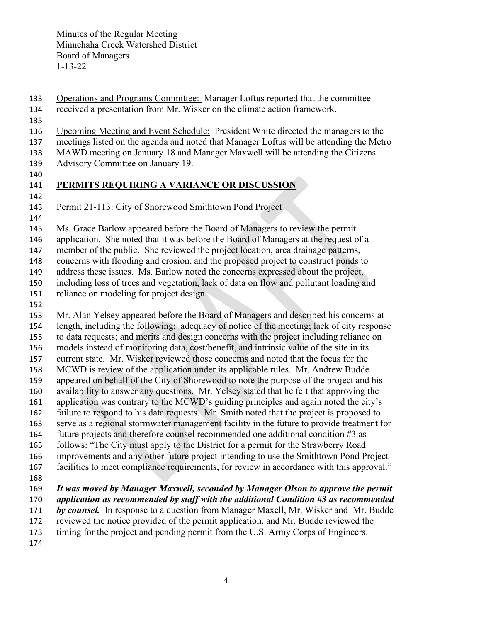- Operations and Programs Committee: Manager Loftus reported that the committee
- received a presentation from Mr. Wisker on the climate action framework.
- 
- Upcoming Meeting and Event Schedule: President White directed the managers to the
- meetings listed on the agenda and noted that Manager Loftus will be attending the Metro
- MAWD meeting on January 18 and Manager Maxwell will be attending the Citizens
- Advisory Committee on January 19.
- 

## **PERMITS REQUIRING A VARIANCE OR DISCUSSION**

- Permit 21-113: City of Shorewood Smithtown Pond Project
- 

Ms. Grace Barlow appeared before the Board of Managers to review the permit

application. She noted that it was before the Board of Managers at the request of a

member of the public. She reviewed the project location, area drainage patterns,

concerns with flooding and erosion, and the proposed project to construct ponds to

address these issues. Ms. Barlow noted the concerns expressed about the project,

including loss of trees and vegetation, lack of data on flow and pollutant loading and

- reliance on modeling for project design.
- 

 Mr. Alan Yelsey appeared before the Board of Managers and described his concerns at length, including the following: adequacy of notice of the meeting; lack of city response to data requests; and merits and design concerns with the project including reliance on models instead of monitoring data, cost/benefit, and intrinsic value of the site in its current state. Mr. Wisker reviewed those concerns and noted that the focus for the MCWD is review of the application under its applicable rules. Mr. Andrew Budde appeared on behalf of the City of Shorewood to note the purpose of the project and his availability to answer any questions. Mr. Yelsey stated that he felt that approving the application was contrary to the MCWD's guiding principles and again noted the city's failure to respond to his data requests. Mr. Smith noted that the project is proposed to serve as a regional stormwater management facility in the future to provide treatment for future projects and therefore counsel recommended one additional condition #3 as follows: "The City must apply to the District for a permit for the Strawberry Road improvements and any other future project intending to use the Smithtown Pond Project facilities to meet compliance requirements, for review in accordance with this approval." *It was moved by Manager Maxwell, seconded by Manager Olson to approve the permit application as recommended by staff with the additional Condition #3 as recommended by counsel.* In response to a question from Manager Maxell, Mr. Wisker and Mr. Budde reviewed the notice provided of the permit application, and Mr. Budde reviewed the

timing for the project and pending permit from the U.S. Army Corps of Engineers.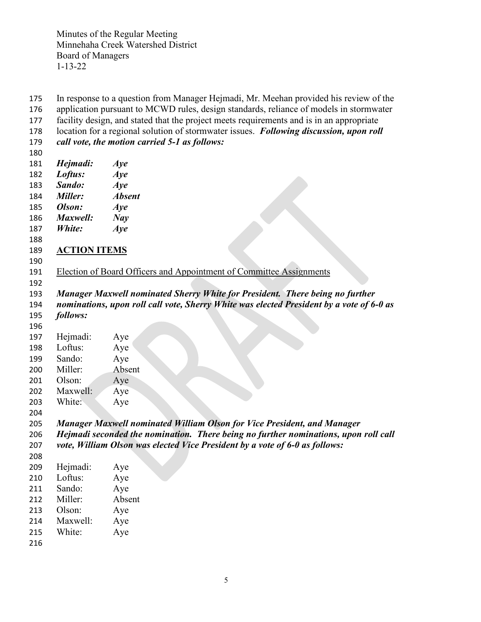In response to a question from Manager Hejmadi, Mr. Meehan provided his review of the application pursuant to MCWD rules, design standards, reliance of models in stormwater facility design, and stated that the project meets requirements and is in an appropriate location for a regional solution of stormwater issues. *Following discussion, upon roll call vote, the motion carried 5-1 as follows: Hejmadi: Aye Loftus: Aye Sando: Aye Miller: Absent Olson: Aye Maxwell: Nay White: Aye* **ACTION ITEMS** 191 Election of Board Officers and Appointment of Committee Assignments *Manager Maxwell nominated Sherry White for President. There being no further nominations, upon roll call vote, Sherry White was elected President by a vote of 6-0 as follows:* Hejmadi: Aye Loftus: Aye Sando: Aye Miller: Absent Olson: Aye Maxwell: Aye White: Aye *Manager Maxwell nominated William Olson for Vice President, and Manager Hejmadi seconded the nomination. There being no further nominations, upon roll call vote, William Olson was elected Vice President by a vote of 6-0 as follows:* Hejmadi: Aye Loftus: Aye Sando: Aye Miller: Absent Olson: Aye Maxwell: Aye White: Aye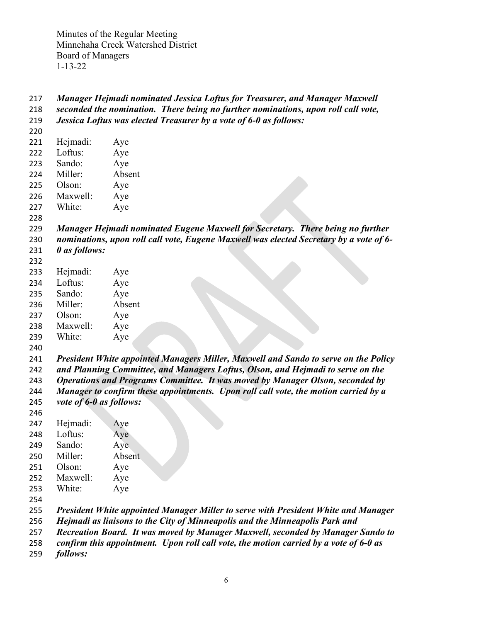```
217 Manager Hejmadi nominated Jessica Loftus for Treasurer, and Manager Maxwell 
218 seconded the nomination. There being no further nominations, upon roll call vote, 
219 Jessica Loftus was elected Treasurer by a vote of 6-0 as follows:
220
221 Hejmadi: Aye
222 Loftus: Aye
223 Sando: Aye
224 Miller: Absent
225 Olson: Aye
226 Maxwell: Aye
227 White: Aye
228
229 Manager Hejmadi nominated Eugene Maxwell for Secretary. There being no further
230 nominations, upon roll call vote, Eugene Maxwell was elected Secretary by a vote of 6-
231 0 as follows:
232
233 Hejmadi: Aye
234 Loftus: Aye
235 Sando: Aye
236 Miller: Absent
237 Olson: Aye
238 Maxwell: Aye
239 White: Aye
240
241 President White appointed Managers Miller, Maxwell and Sando to serve on the Policy 
242 and Planning Committee, and Managers Loftus, Olson, and Hejmadi to serve on the 
243 Operations and Programs Committee. It was moved by Manager Olson, seconded by 
244 Manager to confirm these appointments. Upon roll call vote, the motion carried by a 
245 vote of 6-0 as follows:
246
247 Hejmadi: Aye
248 Loftus: Aye
249 Sando: Aye
250 Miller: Absent
251 Olson: Aye
252 Maxwell: Aye
253 White: Aye
254
255 President White appointed Manager Miller to serve with President White and Manager 
256 Hejmadi as liaisons to the City of Minneapolis and the Minneapolis Park and 
257 Recreation Board. It was moved by Manager Maxwell, seconded by Manager Sando to 
258 confirm this appointment. Upon roll call vote, the motion carried by a vote of 6-0 as
```
*follows:*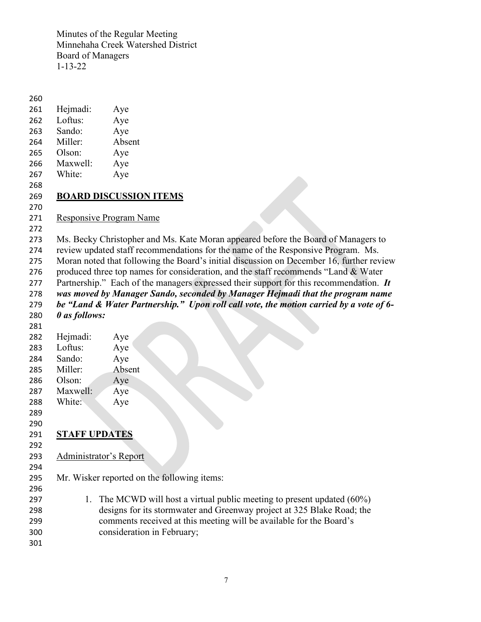Hejmadi: Aye Loftus: Aye Sando: Aye Miller: Absent Olson: Aye Maxwell: Aye White: Aye **BOARD DISCUSSION ITEMS** Responsive Program Name Ms. Becky Christopher and Ms. Kate Moran appeared before the Board of Managers to review updated staff recommendations for the name of the Responsive Program. Ms. Moran noted that following the Board's initial discussion on December 16, further review 276 produced three top names for consideration, and the staff recommends "Land  $\&$  Water Partnership." Each of the managers expressed their support for this recommendation. *It was moved by Manager Sando, seconded by Manager Hejmadi that the program name be "Land & Water Partnership." Upon roll call vote, the motion carried by a vote of 6- 0 as follows:* Hejmadi: Aye Loftus: Aye Sando: Aye Miller: Absent Olson: Aye Maxwell: Aye White: Aye **STAFF UPDATES** Administrator's Report Mr. Wisker reported on the following items: 297 1. The MCWD will host a virtual public meeting to present updated (60%) designs for its stormwater and Greenway project at 325 Blake Road; the comments received at this meeting will be available for the Board's consideration in February;